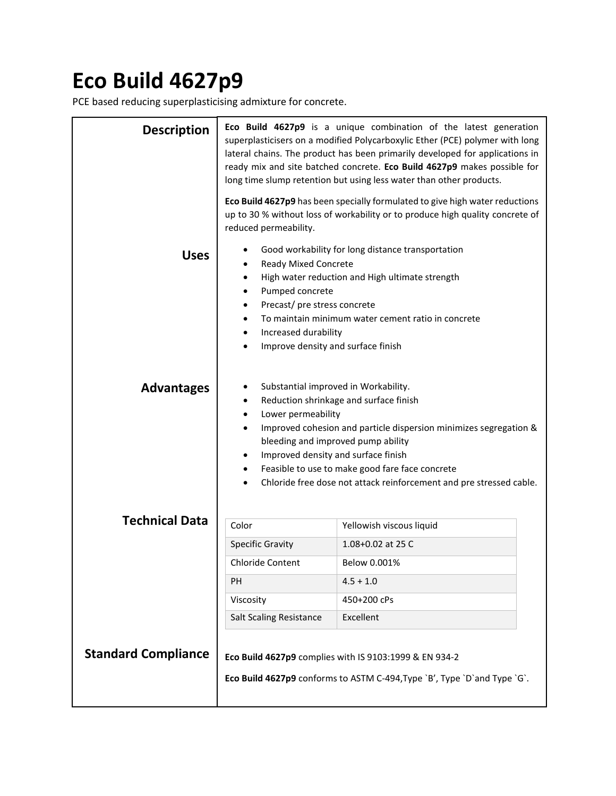## **Eco Build 4627p9**

PCE based reducing superplasticising admixture for concrete.

| <b>Description</b>         | Eco Build 4627p9 is a unique combination of the latest generation<br>superplasticisers on a modified Polycarboxylic Ether (PCE) polymer with long<br>lateral chains. The product has been primarily developed for applications in<br>ready mix and site batched concrete. Eco Build 4627p9 makes possible for<br>long time slump retention but using less water than other products.                                              |                          |  |  |
|----------------------------|-----------------------------------------------------------------------------------------------------------------------------------------------------------------------------------------------------------------------------------------------------------------------------------------------------------------------------------------------------------------------------------------------------------------------------------|--------------------------|--|--|
|                            | Eco Build 4627p9 has been specially formulated to give high water reductions<br>up to 30 % without loss of workability or to produce high quality concrete of<br>reduced permeability.                                                                                                                                                                                                                                            |                          |  |  |
| <b>Uses</b>                | Good workability for long distance transportation<br>Ready Mixed Concrete<br>٠<br>High water reduction and High ultimate strength<br>Pumped concrete<br>$\bullet$<br>Precast/ pre stress concrete<br>$\bullet$<br>To maintain minimum water cement ratio in concrete<br>$\bullet$<br>Increased durability<br>Improve density and surface finish<br>$\bullet$                                                                      |                          |  |  |
| <b>Advantages</b>          | Substantial improved in Workability.<br>Reduction shrinkage and surface finish<br>٠<br>Lower permeability<br>$\bullet$<br>Improved cohesion and particle dispersion minimizes segregation &<br>bleeding and improved pump ability<br>Improved density and surface finish<br>$\bullet$<br>Feasible to use to make good fare face concrete<br>$\bullet$<br>Chloride free dose not attack reinforcement and pre stressed cable.<br>٠ |                          |  |  |
| <b>Technical Data</b>      | Color                                                                                                                                                                                                                                                                                                                                                                                                                             | Yellowish viscous liquid |  |  |
|                            | <b>Specific Gravity</b>                                                                                                                                                                                                                                                                                                                                                                                                           | 1.08+0.02 at 25 C        |  |  |
|                            | <b>Chloride Content</b>                                                                                                                                                                                                                                                                                                                                                                                                           | Below 0.001%             |  |  |
|                            | PH                                                                                                                                                                                                                                                                                                                                                                                                                                | $4.5 + 1.0$              |  |  |
|                            | Viscosity                                                                                                                                                                                                                                                                                                                                                                                                                         | 450+200 cPs              |  |  |
|                            | <b>Salt Scaling Resistance</b>                                                                                                                                                                                                                                                                                                                                                                                                    | Excellent                |  |  |
| <b>Standard Compliance</b> | Eco Build 4627p9 complies with IS 9103:1999 & EN 934-2<br>Eco Build 4627p9 conforms to ASTM C-494, Type `B', Type `D`and Type `G`.                                                                                                                                                                                                                                                                                                |                          |  |  |